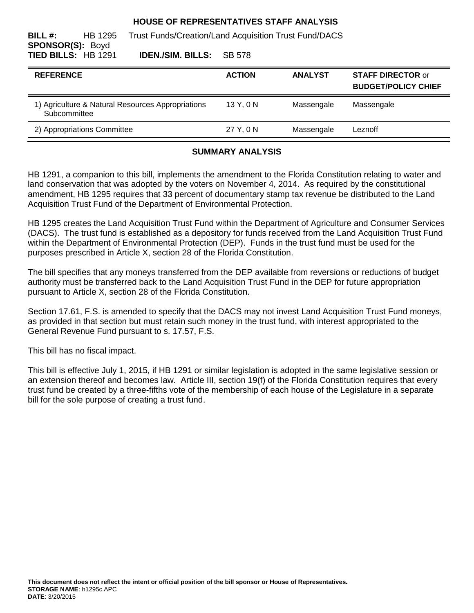#### **HOUSE OF REPRESENTATIVES STAFF ANALYSIS**

| BILL#:<br><b>SPONSOR(S): Boyd</b> | HB 1295 | <b>Trust Funds/Creation/Land Acquisition Trust Fund/DACS</b> |               |                |                                                        |
|-----------------------------------|---------|--------------------------------------------------------------|---------------|----------------|--------------------------------------------------------|
| <b>TIED BILLS: HB 1291</b>        |         | <b>IDEN./SIM. BILLS:</b>                                     | SB 578        |                |                                                        |
| <b>REFERENCE</b>                  |         |                                                              | <b>ACTION</b> | <b>ANALYST</b> | <b>STAFF DIRECTOR or</b><br><b>BUDGET/POLICY CHIEF</b> |
| Subcommittee                      |         | 1) Agriculture & Natural Resources Appropriations            | 13Y.0N        | Massengale     | Massengale                                             |
| 2) Appropriations Committee       |         |                                                              | 27 Y, 0 N     | Massengale     | Leznoff                                                |
|                                   |         |                                                              |               |                |                                                        |

## **SUMMARY ANALYSIS**

HB 1291, a companion to this bill, implements the amendment to the Florida Constitution relating to water and land conservation that was adopted by the voters on November 4, 2014. As required by the constitutional amendment, HB 1295 requires that 33 percent of documentary stamp tax revenue be distributed to the Land Acquisition Trust Fund of the Department of Environmental Protection.

HB 1295 creates the Land Acquisition Trust Fund within the Department of Agriculture and Consumer Services (DACS). The trust fund is established as a depository for funds received from the Land Acquisition Trust Fund within the Department of Environmental Protection (DEP). Funds in the trust fund must be used for the purposes prescribed in Article X, section 28 of the Florida Constitution.

The bill specifies that any moneys transferred from the DEP available from reversions or reductions of budget authority must be transferred back to the Land Acquisition Trust Fund in the DEP for future appropriation pursuant to Article X, section 28 of the Florida Constitution.

Section 17.61, F.S. is amended to specify that the DACS may not invest Land Acquisition Trust Fund moneys, as provided in that section but must retain such money in the trust fund, with interest appropriated to the General Revenue Fund pursuant to s. 17.57, F.S.

This bill has no fiscal impact.

This bill is effective July 1, 2015, if HB 1291 or similar legislation is adopted in the same legislative session or an extension thereof and becomes law. Article III, section 19(f) of the Florida Constitution requires that every trust fund be created by a three-fifths vote of the membership of each house of the Legislature in a separate bill for the sole purpose of creating a trust fund.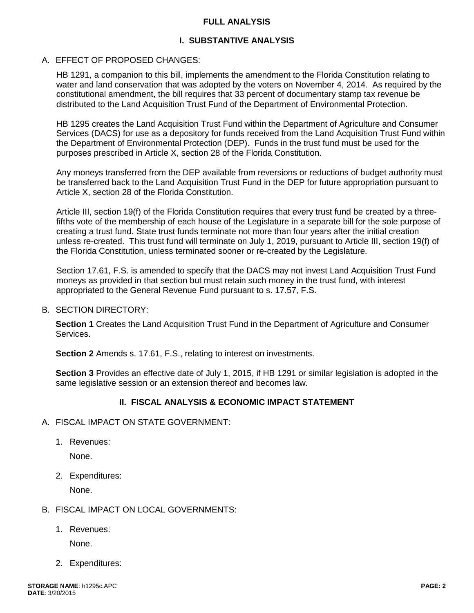#### **FULL ANALYSIS**

## **I. SUBSTANTIVE ANALYSIS**

#### A. EFFECT OF PROPOSED CHANGES:

HB 1291, a companion to this bill, implements the amendment to the Florida Constitution relating to water and land conservation that was adopted by the voters on November 4, 2014. As required by the constitutional amendment, the bill requires that 33 percent of documentary stamp tax revenue be distributed to the Land Acquisition Trust Fund of the Department of Environmental Protection.

HB 1295 creates the Land Acquisition Trust Fund within the Department of Agriculture and Consumer Services (DACS) for use as a depository for funds received from the Land Acquisition Trust Fund within the Department of Environmental Protection (DEP). Funds in the trust fund must be used for the purposes prescribed in Article X, section 28 of the Florida Constitution.

Any moneys transferred from the DEP available from reversions or reductions of budget authority must be transferred back to the Land Acquisition Trust Fund in the DEP for future appropriation pursuant to Article X, section 28 of the Florida Constitution.

Article III, section 19(f) of the Florida Constitution requires that every trust fund be created by a threefifths vote of the membership of each house of the Legislature in a separate bill for the sole purpose of creating a trust fund. State trust funds terminate not more than four years after the initial creation unless re-created. This trust fund will terminate on July 1, 2019, pursuant to Article III, section 19(f) of the Florida Constitution, unless terminated sooner or re-created by the Legislature.

Section 17.61, F.S. is amended to specify that the DACS may not invest Land Acquisition Trust Fund moneys as provided in that section but must retain such money in the trust fund, with interest appropriated to the General Revenue Fund pursuant to s. 17.57, F.S.

#### B. SECTION DIRECTORY:

**Section 1** Creates the Land Acquisition Trust Fund in the Department of Agriculture and Consumer Services.

**Section 2** Amends s. 17.61, F.S., relating to interest on investments.

**Section 3** Provides an effective date of July 1, 2015, if HB 1291 or similar legislation is adopted in the same legislative session or an extension thereof and becomes law.

## **II. FISCAL ANALYSIS & ECONOMIC IMPACT STATEMENT**

- A. FISCAL IMPACT ON STATE GOVERNMENT:
	- 1. Revenues:

None.

2. Expenditures:

None.

- B. FISCAL IMPACT ON LOCAL GOVERNMENTS:
	- 1. Revenues:

None.

2. Expenditures: